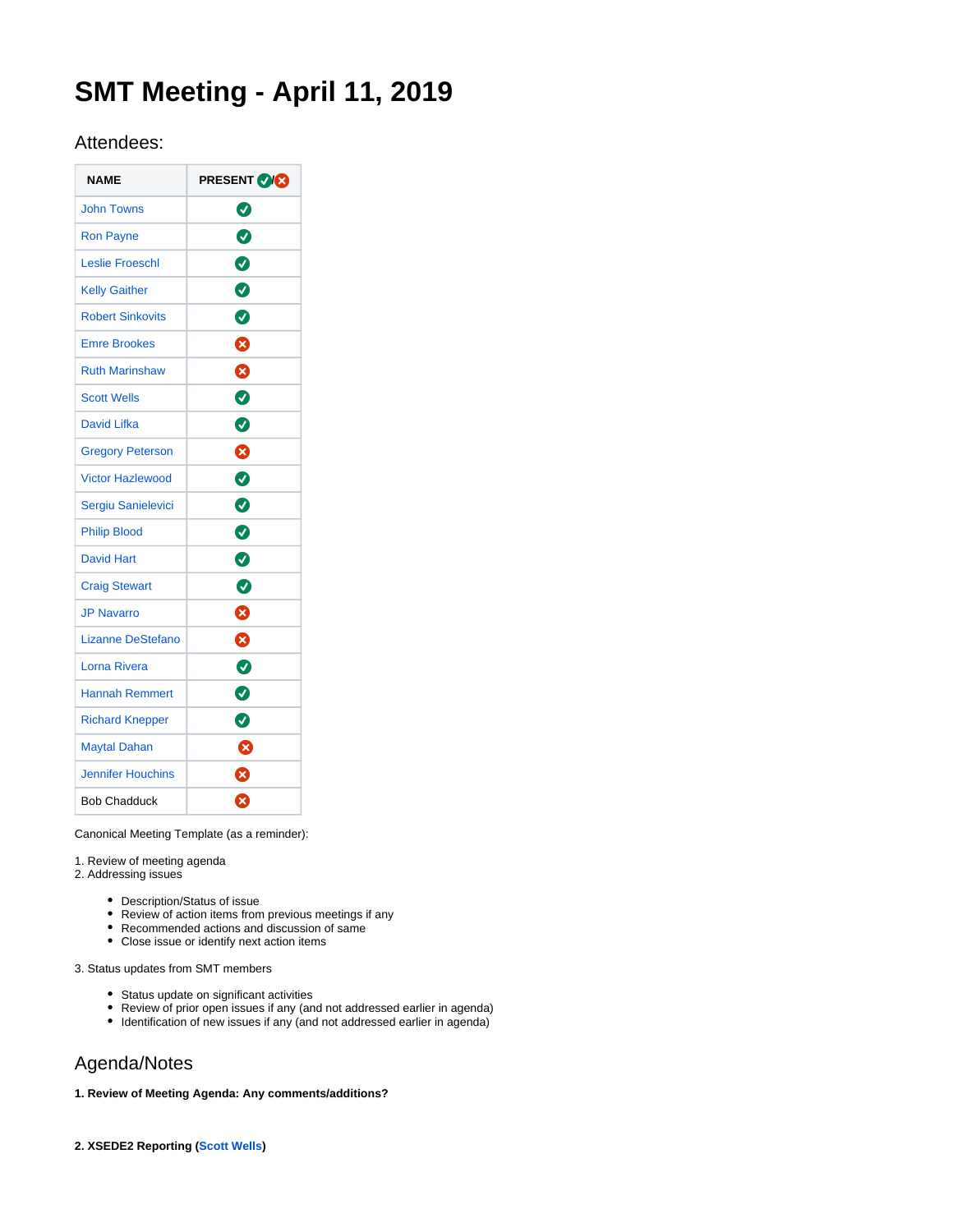# **SMT Meeting - April 11, 2019**

## Attendees:

| <b>NAME</b>              | <b>PRESENT VXX</b> |
|--------------------------|--------------------|
| <b>John Towns</b>        | ◙                  |
| <b>Ron Payne</b>         | $\bullet$          |
| <b>Leslie Froeschl</b>   | 0                  |
| <b>Kelly Gaither</b>     | Ø                  |
| <b>Robert Sinkovits</b>  | Ø                  |
| <b>Emre Brookes</b>      | ☎                  |
| <b>Ruth Marinshaw</b>    | ☺                  |
| <b>Scott Wells</b>       | Ø                  |
| David Lifka              | Ø                  |
| <b>Gregory Peterson</b>  | ☎                  |
| <b>Victor Hazlewood</b>  | ◙                  |
| Sergiu Sanielevici       | Ø                  |
| <b>Philip Blood</b>      | $\bullet$          |
| <b>David Hart</b>        | ◙                  |
| <b>Craig Stewart</b>     | Ø                  |
| <b>JP Navarro</b>        | ೞ                  |
| <b>Lizanne DeStefano</b> | ❸                  |
| Lorna Rivera             | Ø                  |
| <b>Hannah Remmert</b>    | Ø                  |
| <b>Richard Knepper</b>   | ◙                  |
| <b>Maytal Dahan</b>      | Ø                  |
| <b>Jennifer Houchins</b> | ظ                  |
| <b>Bob Chadduck</b>      | ظ                  |

Canonical Meeting Template (as a reminder):

1. Review of meeting agenda

- 2. Addressing issues
	- Description/Status of issue
	- Review of action items from previous meetings if any
	- Recommended actions and discussion of same
	- Close issue or identify next action items

3. Status updates from SMT members

- Status update on significant activities
- Review of prior open issues if any (and not addressed earlier in agenda)
- Identification of new issues if any (and not addressed earlier in agenda)

## Agenda/Notes

### **1. Review of Meeting Agenda: Any comments/additions?**

**2. XSEDE2 Reporting [\(Scott Wells](https://confluence.xsede.org/display/~swells))**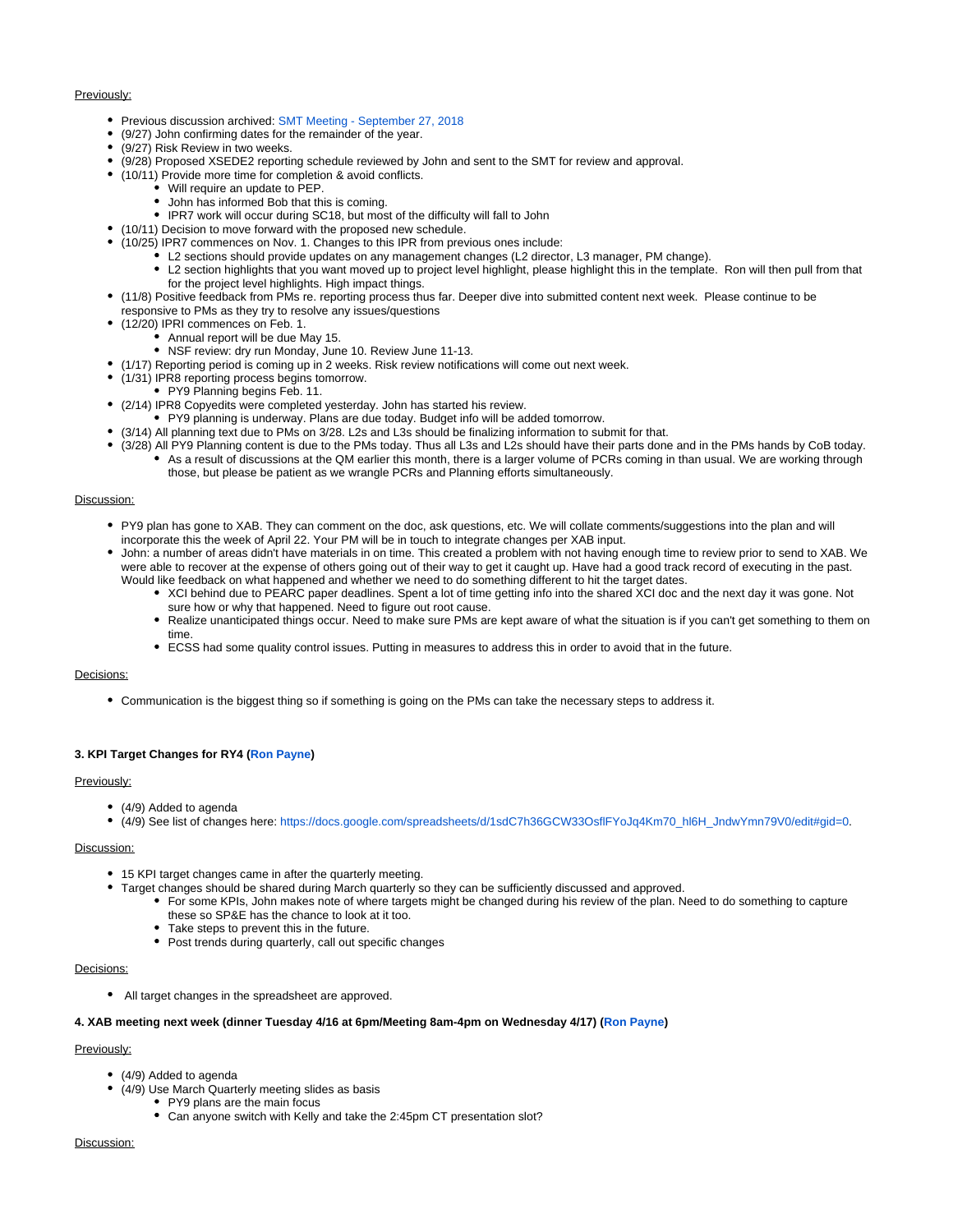#### Previously:

- Previous discussion archived: [SMT Meeting September 27, 2018](https://confluence.xsede.org/display/XT/SMT+Meeting+-+September+27%2C+2018)
- (9/27) John confirming dates for the remainder of the year.
- (9/27) Risk Review in two weeks.
- (9/28) Proposed XSEDE2 reporting schedule reviewed by John and sent to the SMT for review and approval.
- (10/11) Provide more time for completion & avoid conflicts.
	- Will require an update to PEP.
		- John has informed Bob that this is coming.
		- IPR7 work will occur during SC18, but most of the difficulty will fall to John
- (10/11) Decision to move forward with the proposed new schedule.
- (10/25) IPR7 commences on Nov. 1. Changes to this IPR from previous ones include:
	- L2 sections should provide updates on any management changes (L2 director, L3 manager, PM change).
	- $\bullet$ L2 section highlights that you want moved up to project level highlight, please highlight this in the template. Ron will then pull from that for the project level highlights. High impact things.
- (11/8) Positive feedback from PMs re. reporting process thus far. Deeper dive into submitted content next week. Please continue to be
	- responsive to PMs as they try to resolve any issues/questions
- (12/20) IPRI commences on Feb. 1.  $\bullet$  Annual report will be due May 15.
	- NSF review: dry run Monday, June 10. Review June 11-13.
- (1/17) Reporting period is coming up in 2 weeks. Risk review notifications will come out next week.
- (1/31) IPR8 reporting process begins tomorrow.  $\bullet$ 
	- PY9 Planning begins Feb. 11.
- (2/14) IPR8 Copyedits were completed yesterday. John has started his review.
	- PY9 planning is underway. Plans are due today. Budget info will be added tomorrow.
- (3/14) All planning text due to PMs on 3/28. L2s and L3s should be finalizing information to submit for that.
- (3/28) All PY9 Planning content is due to the PMs today. Thus all L3s and L2s should have their parts done and in the PMs hands by CoB today. As a result of discussions at the QM earlier this month, there is a larger volume of PCRs coming in than usual. We are working through those, but please be patient as we wrangle PCRs and Planning efforts simultaneously.

#### Discussion:

- PY9 plan has gone to XAB. They can comment on the doc, ask questions, etc. We will collate comments/suggestions into the plan and will incorporate this the week of April 22. Your PM will be in touch to integrate changes per XAB input.
- John: a number of areas didn't have materials in on time. This created a problem with not having enough time to review prior to send to XAB. We were able to recover at the expense of others going out of their way to get it caught up. Have had a good track record of executing in the past. Would like feedback on what happened and whether we need to do something different to hit the target dates.
	- XCI behind due to PEARC paper deadlines. Spent a lot of time getting info into the shared XCI doc and the next day it was gone. Not sure how or why that happened. Need to figure out root cause.
	- Realize unanticipated things occur. Need to make sure PMs are kept aware of what the situation is if you can't get something to them on time.
	- ECSS had some quality control issues. Putting in measures to address this in order to avoid that in the future.

#### Decisions:

Communication is the biggest thing so if something is going on the PMs can take the necessary steps to address it.

#### **3. KPI Target Changes for RY4 ([Ron Payne\)](https://confluence.xsede.org/display/~rpayne)**

#### Previously:

- (4/9) Added to agenda
- (4/9) See list of changes here: [https://docs.google.com/spreadsheets/d/1sdC7h36GCW33OsflFYoJq4Km70\\_hl6H\\_JndwYmn79V0/edit#gid=0.](https://docs.google.com/spreadsheets/d/1sdC7h36GCW33OsflFYoJq4Km70_hl6H_JndwYmn79V0/edit#gid=0)

#### Discussion:

- 15 KPI target changes came in after the quarterly meeting.
- Target changes should be shared during March quarterly so they can be sufficiently discussed and approved.
	- For some KPIs, John makes note of where targets might be changed during his review of the plan. Need to do something to capture these so SP&E has the chance to look at it too.
	- Take steps to prevent this in the future.
	- Post trends during quarterly, call out specific changes

#### Decisions:

All target changes in the spreadsheet are approved.

#### **4. XAB meeting next week (dinner Tuesday 4/16 at 6pm/Meeting 8am-4pm on Wednesday 4/17) [\(Ron Payne\)](https://confluence.xsede.org/display/~rpayne)**

#### Previously:

- (4/9) Added to agenda
- (4/9) Use March Quarterly meeting slides as basis
	- PY9 plans are the main focus
		- Can anyone switch with Kelly and take the 2:45pm CT presentation slot?

#### Discussion: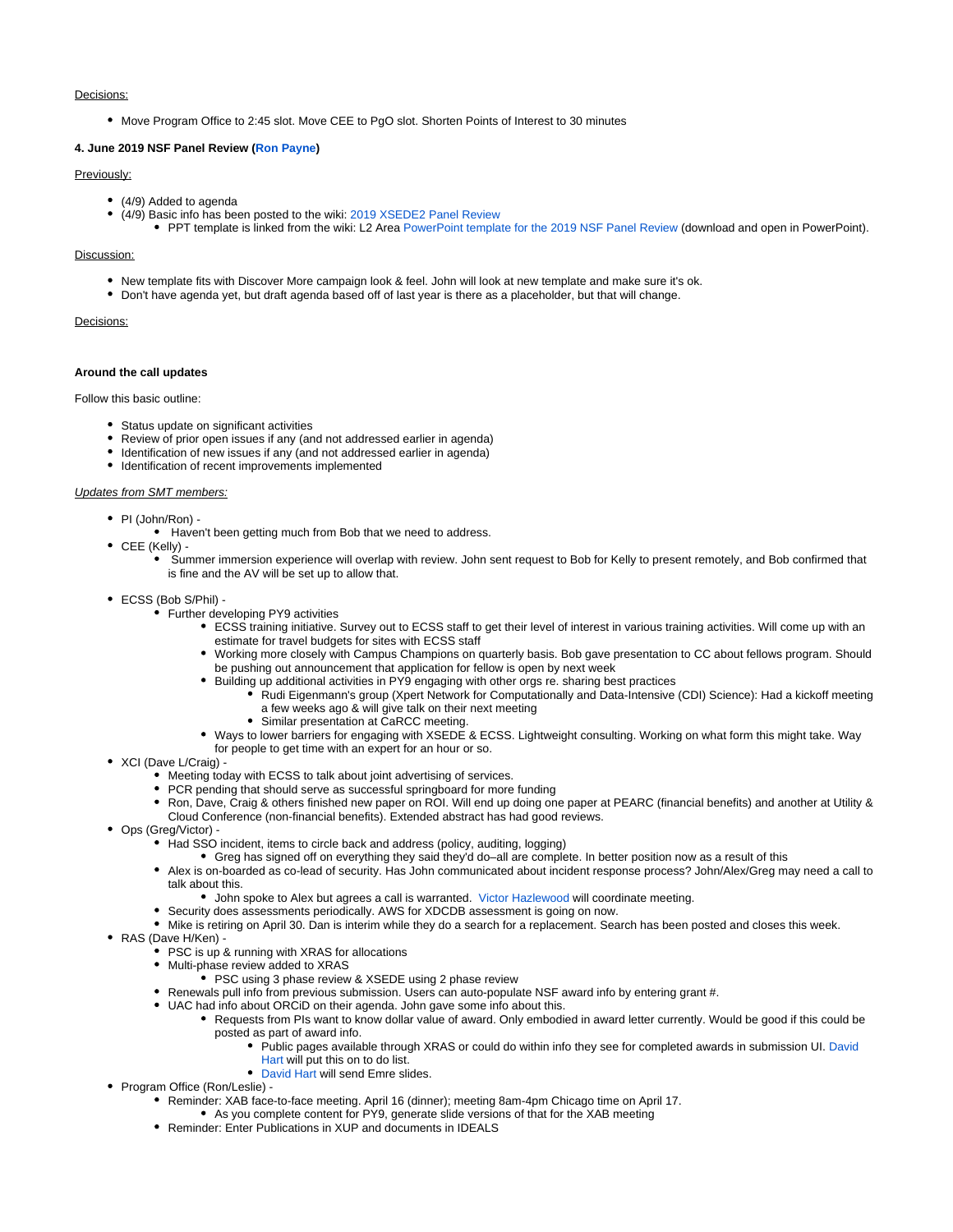#### Decisions:

Move Program Office to 2:45 slot. Move CEE to PgO slot. Shorten Points of Interest to 30 minutes

#### **4. June 2019 NSF Panel Review [\(Ron Payne](https://confluence.xsede.org/display/~rpayne))**

#### Previously:

- (4/9) Added to agenda
- (4/9) Basic info has been posted to the wiki: [2019 XSEDE2 Panel Review](https://confluence.xsede.org/display/XT/2019+XSEDE2+Panel+Review)
	- PPT template is linked from the wiki: L2 Area [PowerPoint template for the 2019 NSF Panel Review](https://confluence.xsede.org/download/attachments/12288711/NSF%20Review%20Template%202019.pptx?version=1&modificationDate=1554999972679&api=v2) (download and open in PowerPoint).

#### Discussion:

- New template fits with Discover More campaign look & feel. John will look at new template and make sure it's ok.
- Don't have agenda yet, but draft agenda based off of last year is there as a placeholder, but that will change.

#### Decisions:

#### **Around the call updates**

Follow this basic outline:

- Status update on significant activities
- Review of prior open issues if any (and not addressed earlier in agenda)
- Identification of new issues if any (and not addressed earlier in agenda)
- $\bullet$  Identification of recent improvements implemented

#### Updates from SMT members:

- PI (John/Ron)
	- Haven't been getting much from Bob that we need to address.
- CEE (Kelly)
	- Summer immersion experience will overlap with review. John sent request to Bob for Kelly to present remotely, and Bob confirmed that is fine and the AV will be set up to allow that.
- ECSS (Bob S/Phil)
	- Further developing PY9 activities
		- ECSS training initiative. Survey out to ECSS staff to get their level of interest in various training activities. Will come up with an estimate for travel budgets for sites with ECSS staff
		- Working more closely with Campus Champions on quarterly basis. Bob gave presentation to CC about fellows program. Should be pushing out announcement that application for fellow is open by next week
		- Building up additional activities in PY9 engaging with other orgs re. sharing best practices
			- Rudi Eigenmann's group (Xpert Network for Computationally and Data-Intensive (CDI) Science): Had a kickoff meeting a few weeks ago & will give talk on their next meeting
			- Similar presentation at CaRCC meeting.
		- Ways to lower barriers for engaging with XSEDE & ECSS. Lightweight consulting. Working on what form this might take. Way for people to get time with an expert for an hour or so.
- XCI (Dave L/Craig)
	- Meeting today with ECSS to talk about joint advertising of services.
	- PCR pending that should serve as successful springboard for more funding
	- Ron, Dave, Craig & others finished new paper on ROI. Will end up doing one paper at PEARC (financial benefits) and another at Utility & Cloud Conference (non-financial benefits). Extended abstract has had good reviews.
- Ops (Greg/Victor)
	- Had SSO incident, items to circle back and address (policy, auditing, logging)
		- Greg has signed off on everything they said they'd do–all are complete. In better position now as a result of this
	- Alex is on-boarded as co-lead of security. Has John communicated about incident response process? John/Alex/Greg may need a call to talk about this.
		- John spoke to Alex but agrees a call is warranted. [Victor Hazlewood](https://confluence.xsede.org/display/~victorh) will coordinate meeting.
	- Security does assessments periodically. AWS for XDCDB assessment is going on now.
	- Mike is retiring on April 30. Dan is interim while they do a search for a replacement. Search has been posted and closes this week.
- RAS (Dave H/Ken)
	- PSC is up & running with XRAS for allocations
	- Multi-phase review added to XRAS
		- PSC using 3 phase review & XSEDE using 2 phase review
	- Renewals pull info from previous submission. Users can auto-populate NSF award info by entering grant #.
	- UAC had info about ORCiD on their agenda. John gave some info about this.
		- Requests from PIs want to know dollar value of award. Only embodied in award letter currently. Would be good if this could be posted as part of award info.
			- Public pages available through XRAS or could do within info they see for completed awards in submission UI. [David](https://confluence.xsede.org/display/~davidlh)  [Hart](https://confluence.xsede.org/display/~davidlh) will put this on to do list.
				- [David Hart](https://confluence.xsede.org/display/~davidlh) will send Emre slides.
- Program Office (Ron/Leslie) -
	- Reminder: XAB face-to-face meeting. April 16 (dinner); meeting 8am-4pm Chicago time on April 17.
		- As you complete content for PY9, generate slide versions of that for the XAB meeting
	- Reminder: Enter Publications in XUP and documents in IDEALS